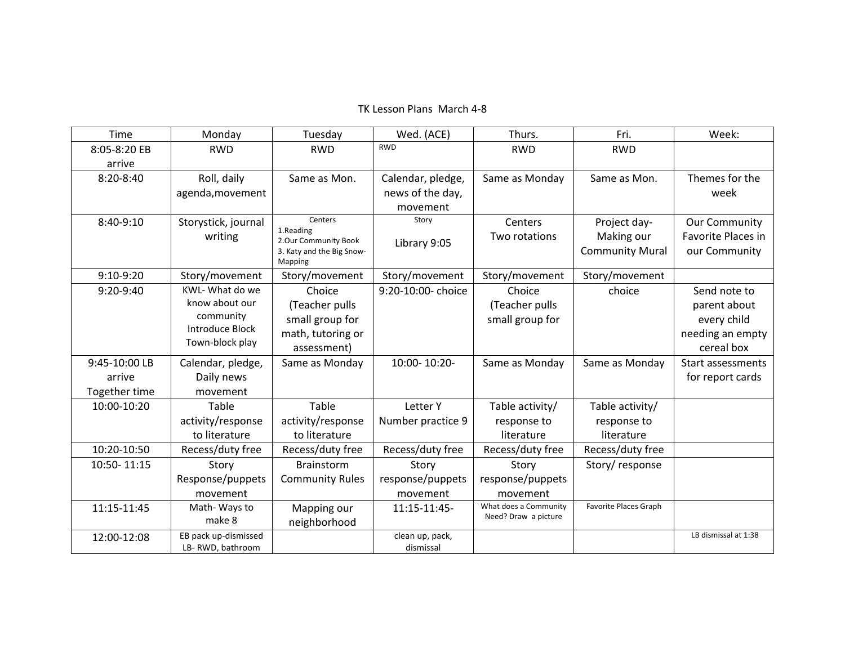### TK Lesson Plans March 4‐8

| Time          | Monday                                   | Tuesday                           | Wed. (ACE)                   | Thurs.                | Fri.                   | Week:                |
|---------------|------------------------------------------|-----------------------------------|------------------------------|-----------------------|------------------------|----------------------|
| 8:05-8:20 EB  | <b>RWD</b>                               | <b>RWD</b>                        | <b>RWD</b>                   | <b>RWD</b>            | <b>RWD</b>             |                      |
| arrive        |                                          |                                   |                              |                       |                        |                      |
| 8:20-8:40     | Roll, daily                              | Same as Mon.                      | Calendar, pledge,            | Same as Monday        | Same as Mon.           | Themes for the       |
|               | agenda, movement                         |                                   | news of the day,             |                       |                        | week                 |
|               |                                          |                                   | movement                     |                       |                        |                      |
| 8:40-9:10     | Storystick, journal                      | Centers                           | Story                        | Centers               | Project day-           | <b>Our Community</b> |
|               | writing                                  | 1.Reading<br>2.Our Community Book | Library 9:05                 | Two rotations         | Making our             | Favorite Places in   |
|               |                                          | 3. Katy and the Big Snow-         |                              |                       | <b>Community Mural</b> | our Community        |
| 9:10-9:20     |                                          | Mapping<br>Story/movement         | Story/movement               | Story/movement        | Story/movement         |                      |
|               | Story/movement<br>KWL-What do we         |                                   | 9:20-10:00- choice           |                       |                        |                      |
| 9:20-9:40     | know about our                           | Choice                            |                              | Choice                | choice                 | Send note to         |
|               | community                                | (Teacher pulls                    |                              | (Teacher pulls        |                        | parent about         |
|               | Introduce Block                          | small group for                   |                              | small group for       |                        | every child          |
|               | Town-block play                          | math, tutoring or                 |                              |                       |                        | needing an empty     |
|               |                                          | assessment)                       |                              |                       |                        | cereal box           |
| 9:45-10:00 LB | Calendar, pledge,                        | Same as Monday                    | 10:00-10:20-                 | Same as Monday        | Same as Monday         | Start assessments    |
| arrive        | Daily news                               |                                   |                              |                       |                        | for report cards     |
| Together time | movement                                 |                                   |                              |                       |                        |                      |
| 10:00-10:20   | Table                                    | Table                             | Letter Y                     | Table activity/       | Table activity/        |                      |
|               | activity/response                        | activity/response                 | Number practice 9            | response to           | response to            |                      |
|               | to literature                            | to literature                     |                              | literature            | literature             |                      |
| 10:20-10:50   | Recess/duty free                         | Recess/duty free                  | Recess/duty free             | Recess/duty free      | Recess/duty free       |                      |
| 10:50-11:15   | Story                                    | <b>Brainstorm</b>                 | Story                        | Story                 | Story/response         |                      |
|               | Response/puppets                         | <b>Community Rules</b>            | response/puppets             | response/puppets      |                        |                      |
|               | movement                                 |                                   | movement                     | movement              |                        |                      |
| 11:15-11:45   | Math-Ways to                             | Mapping our                       | 11:15-11:45-                 | What does a Community | Favorite Places Graph  |                      |
|               | make 8                                   | neighborhood                      |                              | Need? Draw a picture  |                        |                      |
| 12:00-12:08   | EB pack up-dismissed<br>LB-RWD, bathroom |                                   | clean up, pack,<br>dismissal |                       |                        | LB dismissal at 1:38 |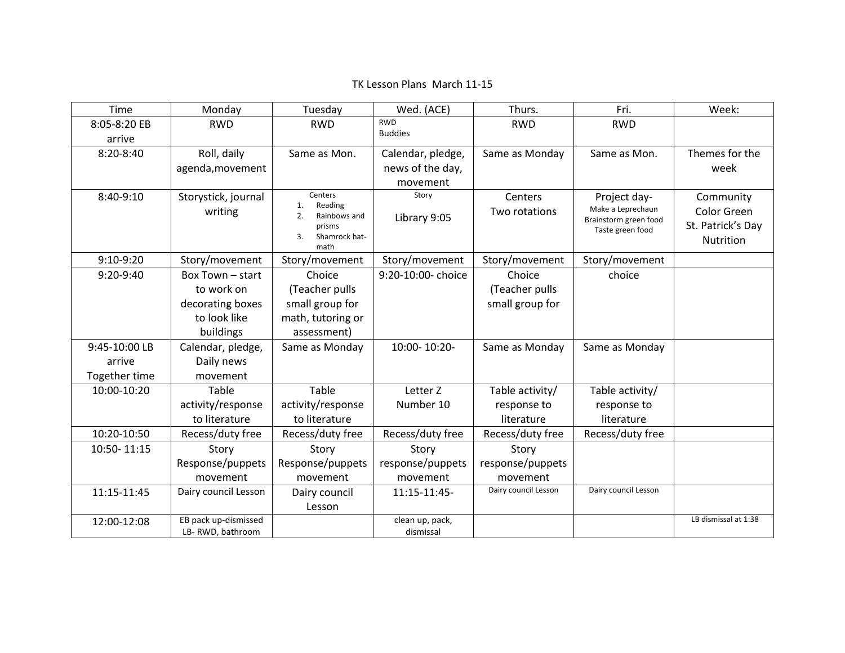#### Timee | Monday | Tuesday | Wed.(ACE) | Thurs. | Fri. | Week: 8:05‐8:20 EBarriveRWD RWD RWD BuddiesRWD RWD 8:20‐8:40 Roll, daily agenda,movement Same as Mon. Calendar, pledge, news of the day, movementSame as Monday Same as Mon.  $\parallel$  Themes for the week8:40‐9:10 Storystick, journal writing **Centers** 1. Reading 2. Rainbows andprisms 3.. Shamrock hatmath**Story** Library 9:05 **Centers** Two rotations Project day‐ Make <sup>a</sup> Leprechaun Brainstorm green food Taste green food Community Color GreenSt. Patrick's Day Nutrition 9:10‐9:20Story/movement Story/movement | Story/movement | Story/movement | Story/movement 9:20‐9:40 Box Town – start to work on decorating boxes to look like buildings Choice(Teacher pulls small group for math, tutoring or assessment) 9:20‐10:00‐ choice Choice (Teacher pulls small group for choice9:45‐10:00 LBarriveTogether time Calendar, pledge, Daily news movementSame as Monday 10:00-10:20- Same as Monday Same as Monday 10:00‐10:20 Table activity/response to literature Tableactivity/response to literature Letter ZNumber 10Table activity/ response to literatureTable activity/ response to literature10:20‐10:50Recess/duty free | Recess/duty free | Recess/duty free | Recess/duty free | Recess/duty free 10:50‐ 11:15 Story Response/puppets movement Story Response/puppets movement Story response/puppets movement Story response/puppets movement11:15‐11:45Dairy council Lesson | Dairy council Lesson11:15‐11:45‐Dairy council Lesson | Dairy council Lesson 12:00‐12:08 EB pack up‐dismissed LB‐ RWD, bathroom clean up, pack, dismissalLB dismissal at 1:38

# TK Lesson Plans March 11‐15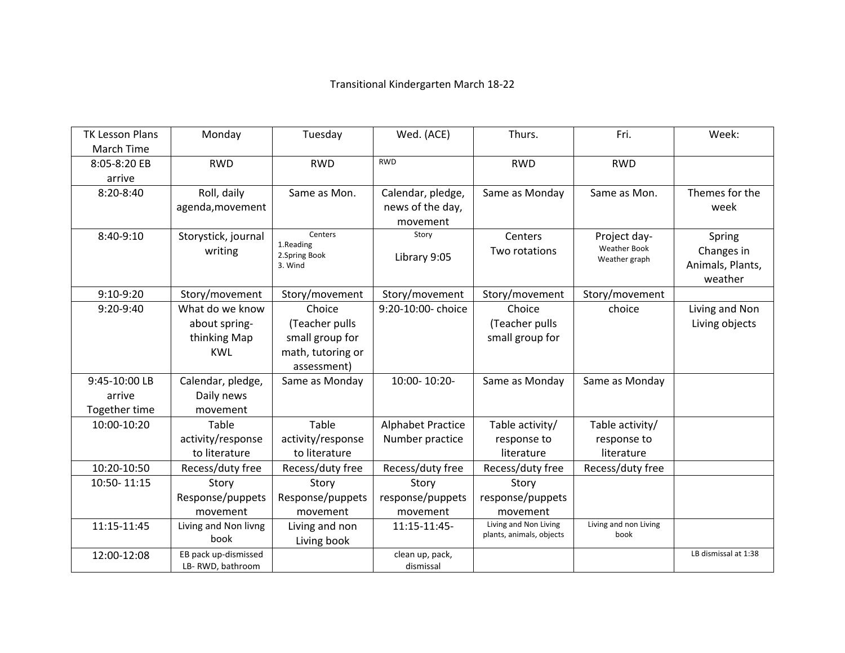# Transitional Kindergarten March 18‐22

| <b>TK Lesson Plans</b> | Monday               | Tuesday              | Wed. (ACE)               | Thurs.                   | Fri.                                 | Week:                |
|------------------------|----------------------|----------------------|--------------------------|--------------------------|--------------------------------------|----------------------|
| <b>March Time</b>      |                      |                      |                          |                          |                                      |                      |
| 8:05-8:20 EB           | <b>RWD</b>           | <b>RWD</b>           | <b>RWD</b>               | <b>RWD</b>               | <b>RWD</b>                           |                      |
| arrive                 |                      |                      |                          |                          |                                      |                      |
| 8:20-8:40              | Roll, daily          | Same as Mon.         | Calendar, pledge,        | Same as Monday           | Same as Mon.                         | Themes for the       |
|                        | agenda, movement     |                      | news of the day,         |                          |                                      | week                 |
|                        |                      |                      | movement                 |                          |                                      |                      |
| 8:40-9:10              | Storystick, journal  | Centers<br>1.Reading | Story                    | Centers                  | Project day-                         | Spring               |
|                        | writing              | 2.Spring Book        | Library 9:05             | Two rotations            | <b>Weather Book</b><br>Weather graph | Changes in           |
|                        |                      | 3. Wind              |                          |                          |                                      | Animals, Plants,     |
|                        |                      |                      |                          |                          |                                      | weather              |
| 9:10-9:20              | Story/movement       | Story/movement       | Story/movement           | Story/movement           | Story/movement                       |                      |
| 9:20-9:40              | What do we know      | Choice               | 9:20-10:00- choice       | Choice                   | choice                               | Living and Non       |
|                        | about spring-        | (Teacher pulls       |                          | (Teacher pulls           |                                      | Living objects       |
|                        | thinking Map         | small group for      |                          | small group for          |                                      |                      |
|                        | <b>KWL</b>           | math, tutoring or    |                          |                          |                                      |                      |
|                        |                      | assessment)          |                          |                          |                                      |                      |
| 9:45-10:00 LB          | Calendar, pledge,    | Same as Monday       | 10:00-10:20-             | Same as Monday           | Same as Monday                       |                      |
| arrive                 | Daily news           |                      |                          |                          |                                      |                      |
| Together time          | movement             |                      |                          |                          |                                      |                      |
| 10:00-10:20            | Table                | Table                | <b>Alphabet Practice</b> | Table activity/          | Table activity/                      |                      |
|                        | activity/response    | activity/response    | Number practice          | response to              | response to                          |                      |
|                        | to literature        | to literature        |                          | literature               | literature                           |                      |
| 10:20-10:50            | Recess/duty free     | Recess/duty free     | Recess/duty free         | Recess/duty free         | Recess/duty free                     |                      |
| 10:50-11:15            | Story                | Story                | Story                    | Story                    |                                      |                      |
|                        | Response/puppets     | Response/puppets     | response/puppets         | response/puppets         |                                      |                      |
|                        | movement             | movement             | movement                 | movement                 |                                      |                      |
| 11:15-11:45            | Living and Non livng | Living and non       | 11:15-11:45-             | Living and Non Living    | Living and non Living                |                      |
|                        | book                 | Living book          |                          | plants, animals, objects | book                                 |                      |
| 12:00-12:08            | EB pack up-dismissed |                      | clean up, pack,          |                          |                                      | LB dismissal at 1:38 |
|                        | LB-RWD, bathroom     |                      | dismissal                |                          |                                      |                      |